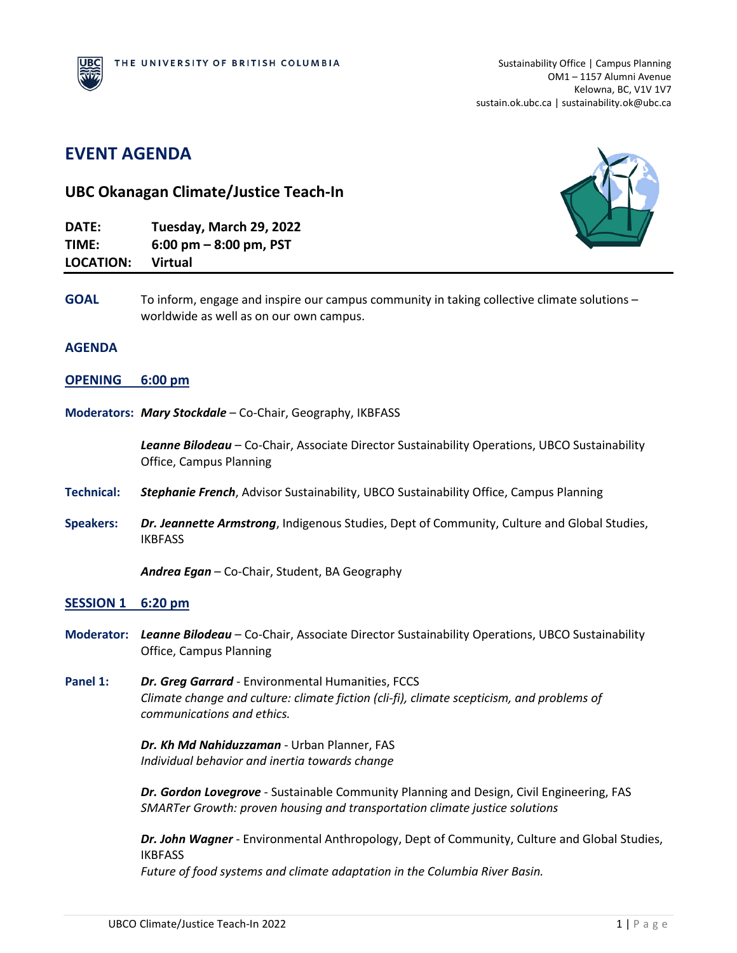# **EVENT AGENDA UBC Okanagan Climate/Justice Teach-In DATE: Tuesday, March 29, 2022 TIME: 6:00 pm – 8:00 pm, PST LOCATION: Virtual**  GOAL To inform, engage and inspire our campus community in taking collective climate solutions worldwide as well as on our own campus. **AGENDA OPENING 6:00 pm Moderators:** *Mary Stockdale* – Co-Chair, Geography, IKBFASS *Leanne Bilodeau* – Co-Chair, Associate Director Sustainability Operations, UBCO Sustainability Office, Campus Planning **Technical:** *Stephanie French*, Advisor Sustainability, UBCO Sustainability Office, Campus Planning **Speakers:** *Dr. Jeannette Armstrong*, Indigenous Studies, Dept of Community, Culture and Global Studies, IKBFASS *Andrea Egan* – Co-Chair, Student, BA Geography **SESSION 1 6:20 pm Moderator:** *Leanne Bilodeau* – Co-Chair, Associate Director Sustainability Operations, UBCO Sustainability Office, Campus Planning **Panel 1:** *Dr. Greg Garrard* - Environmental Humanities, FCCS *Climate change and culture: climate fiction (cli-fi), climate scepticism, and problems of communications and ethics. Dr. Kh Md Nahiduzzaman* - Urban Planner, FAS *Individual behavior and inertia towards change*

*Dr. Gordon Lovegrove* - Sustainable Community Planning and Design, Civil Engineering, FAS *SMARTer Growth: proven housing and transportation climate justice solutions*

*Dr. John Wagner* - Environmental Anthropology, Dept of Community, Culture and Global Studies, IKBFASS *Future of food systems and climate adaptation in the Columbia River Basin.*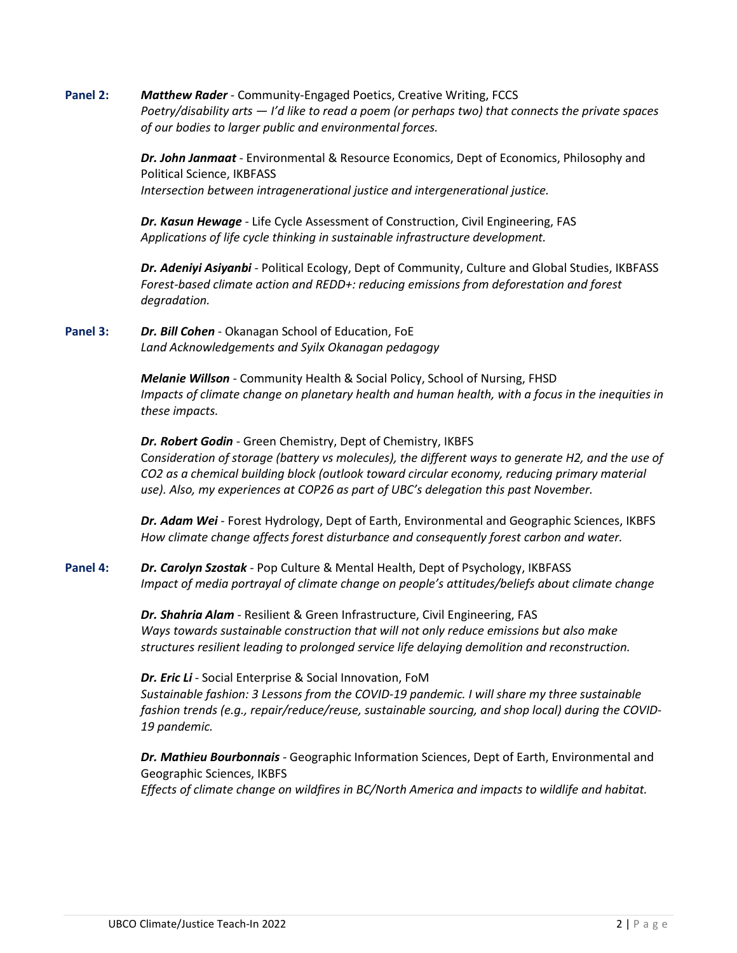**Panel 2:** *Matthew Rader* - Community-Engaged Poetics, Creative Writing, FCCS *Poetry/disability arts — I'd like to read a poem (or perhaps two) that connects the private spaces of our bodies to larger public and environmental forces.*

> *Dr. John Janmaat* - Environmental & Resource Economics, Dept of Economics, Philosophy and Political Science, IKBFASS *Intersection between intragenerational justice and intergenerational justice.*

*Dr. Kasun Hewage* - Life Cycle Assessment of Construction, Civil Engineering, FAS *Applications of life cycle thinking in sustainable infrastructure development.*

*Dr. Adeniyi Asiyanbi* - Political Ecology, Dept of Community, Culture and Global Studies, IKBFASS *Forest-based climate action and REDD+: reducing emissions from deforestation and forest degradation.*

## **Panel 3:** *Dr. Bill Cohen* - Okanagan School of Education, FoE *Land Acknowledgements and Syilx Okanagan pedagogy*

*Melanie Willson* - Community Health & Social Policy, School of Nursing, FHSD *Impacts of climate change on planetary health and human health, with a focus in the inequities in these impacts.* 

*Dr. Robert Godin* - Green Chemistry, Dept of Chemistry, IKBFS C*onsideration of storage (battery vs molecules), the different ways to generate H2, and the use of CO2 as a chemical building block (outlook toward circular economy, reducing primary material use). Also, my experiences at COP26 as part of UBC's delegation this past November.*

*Dr. Adam Wei* - Forest Hydrology, Dept of Earth, Environmental and Geographic Sciences, IKBFS *How climate change affects forest disturbance and consequently forest carbon and water.*

**Panel 4:** *Dr. Carolyn Szostak* - Pop Culture & Mental Health, Dept of Psychology, IKBFASS *Impact of media portrayal of climate change on people's attitudes/beliefs about climate change*

> *Dr. Shahria Alam* - Resilient & Green Infrastructure, Civil Engineering, FAS *Ways towards sustainable construction that will not only reduce emissions but also make structures resilient leading to prolonged service life delaying demolition and reconstruction.*

*Dr. Eric Li* - Social Enterprise & Social Innovation, FoM *Sustainable fashion: 3 Lessons from the COVID-19 pandemic. I will share my three sustainable fashion trends (e.g., repair/reduce/reuse, sustainable sourcing, and shop local) during the COVID-19 pandemic.*

*Dr. Mathieu Bourbonnais* - Geographic Information Sciences, Dept of Earth, Environmental and Geographic Sciences, IKBFS *Effects of climate change on wildfires in BC/North America and impacts to wildlife and habitat.*